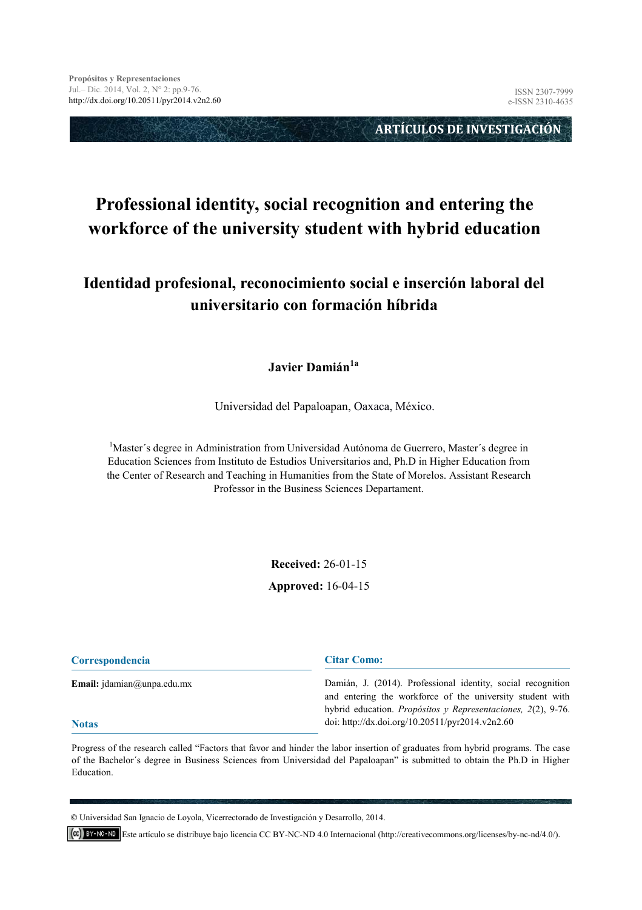**ARTÍCULOS DE INVESTIGACIÓN** 

# **Professional identity, social recognition and entering the workforce of the university student with hybrid education**

## **Identidad profesional, reconocimiento social e inserción laboral del universitario con formación híbrida**

#### **Javier Damián1a**

Universidad del Papaloapan, Oaxaca, México.

<sup>1</sup>Master's degree in Administration from Universidad Autónoma de Guerrero, Master's degree in Education Sciences from Instituto de Estudios Universitarios and, Ph.D in Higher Education from the Center of Research and Teaching in Humanities from the State of Morelos. Assistant Research Professor in the Business Sciences Departament.

**Received:** 26-01-15

**[Ap](mailto:jdamian@unpa.edu.mx)proved:** 16-04-15

| <b>Correspondencia</b>              | <b>Citar Como:</b>                                                                                                        |
|-------------------------------------|---------------------------------------------------------------------------------------------------------------------------|
| <b>Email:</b> $idamian@unpa.edu.mx$ | Damián, J. (2014). Professional identity, social recognition<br>and entering the workforce of the university student with |
| <b>Notas</b>                        | hybrid education. Propósitos y Representaciones, 2(2), 9-76.<br>doi: http://dx.doi.org/10.20511/pyr2014.v2n2.60           |

Progress of the research called "Factors that favor and hinder the labor insertion of graduates from hybrid programs. The case of the Bachelor´s degree in Business Sciences from Universidad del Papaloapan" is submitted to obtain the Ph.D in Higher Education.

**©** Universidad San Ignacio de Loyola, Vicerrectorado de Investigación y Desarrollo, 2014.

Este artículo se distribuye bajo licencia CC BY-NC-ND 4.0 Internacional (http://creativecommons.org/licenses/by-nc-nd/4.0/).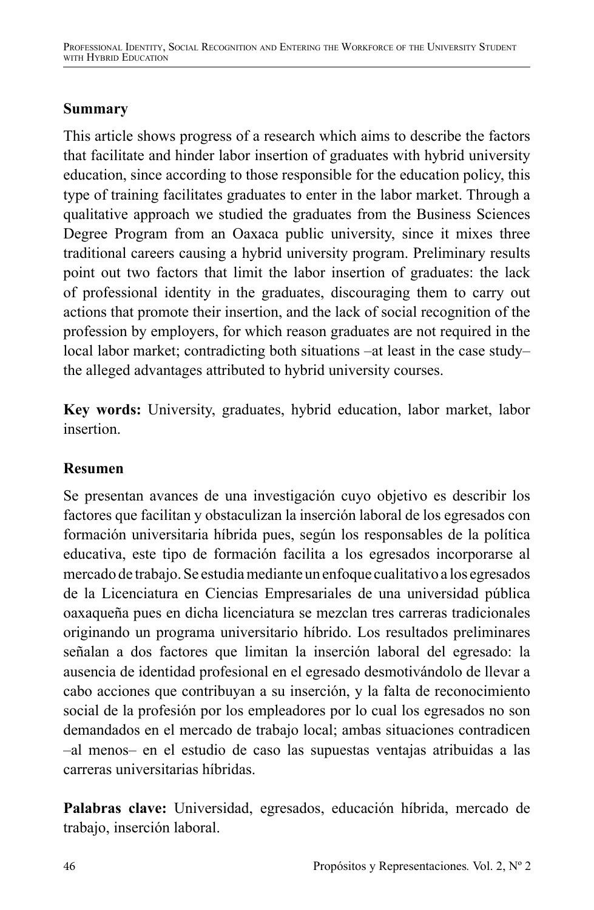# **Summary**

This article shows progress of a research which aims to describe the factors that facilitate and hinder labor insertion of graduates with hybrid university education, since according to those responsible for the education policy, this type of training facilitates graduates to enter in the labor market. Through a qualitative approach we studied the graduates from the Business Sciences Degree Program from an Oaxaca public university, since it mixes three traditional careers causing a hybrid university program. Preliminary results point out two factors that limit the labor insertion of graduates: the lack of professional identity in the graduates, discouraging them to carry out actions that promote their insertion, and the lack of social recognition of the profession by employers, for which reason graduates are not required in the local labor market; contradicting both situations –at least in the case study– the alleged advantages attributed to hybrid university courses.

**Key words:** University, graduates, hybrid education, labor market, labor insertion.

# **Resumen**

Se presentan avances de una investigación cuyo objetivo es describir los factores que facilitan y obstaculizan la inserción laboral de los egresados con formación universitaria híbrida pues, según los responsables de la política educativa, este tipo de formación facilita a los egresados incorporarse al mercado de trabajo. Se estudia mediante un enfoque cualitativo a los egresados de la Licenciatura en Ciencias Empresariales de una universidad pública oaxaqueña pues en dicha licenciatura se mezclan tres carreras tradicionales originando un programa universitario híbrido. Los resultados preliminares señalan a dos factores que limitan la inserción laboral del egresado: la ausencia de identidad profesional en el egresado desmotivándolo de llevar a cabo acciones que contribuyan a su inserción, y la falta de reconocimiento social de la profesión por los empleadores por lo cual los egresados no son demandados en el mercado de trabajo local; ambas situaciones contradicen –al menos– en el estudio de caso las supuestas ventajas atribuidas a las carreras universitarias híbridas.

**Palabras clave:** Universidad, egresados, educación híbrida, mercado de trabajo, inserción laboral.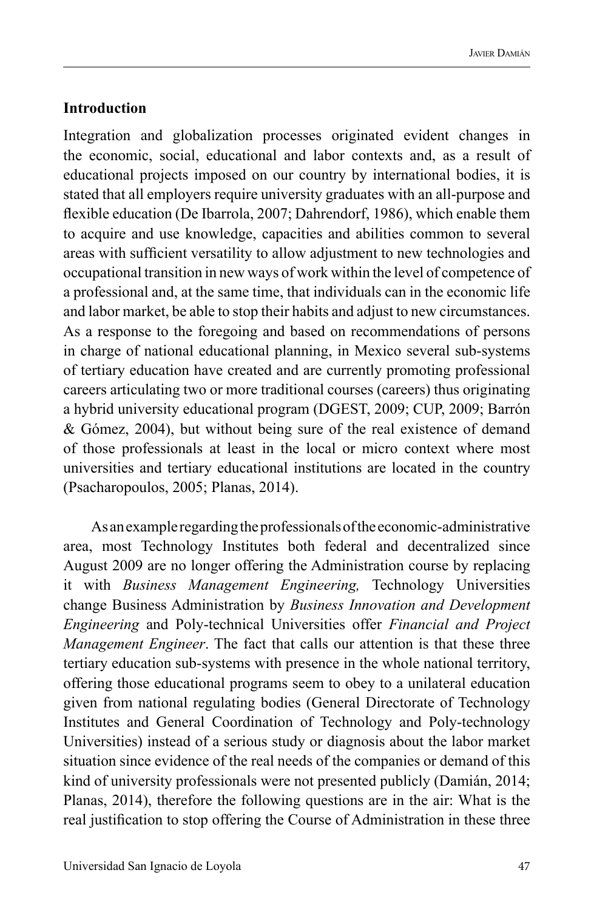#### **Introduction**

Integration and globalization processes originated evident changes in the economic, social, educational and labor contexts and, as a result of educational projects imposed on our country by international bodies, it is stated that all employers require university graduates with an all-purpose and flexible education (De Ibarrola, 2007; Dahrendorf, 1986), which enable them to acquire and use knowledge, capacities and abilities common to several areas with sufficient versatility to allow adjustment to new technologies and occupational transition in new ways of work within the level of competence of a professional and, at the same time, that individuals can in the economic life and labor market, be able to stop their habits and adjust to new circumstances. As a response to the foregoing and based on recommendations of persons in charge of national educational planning, in Mexico several sub-systems of tertiary education have created and are currently promoting professional careers articulating two or more traditional courses (careers) thus originating a hybrid university educational program (DGEST, 2009; CUP, 2009; Barrón & Gómez, 2004), but without being sure of the real existence of demand of those professionals at least in the local or micro context where most universities and tertiary educational institutions are located in the country (Psacharopoulos, 2005; Planas, 2014).

As an example regarding the professionals of the economic-administrative area, most Technology Institutes both federal and decentralized since August 2009 are no longer offering the Administration course by replacing it with *Business Management Engineering,* Technology Universities change Business Administration by *Business Innovation and Development Engineering* and Poly-technical Universities offer *Financial and Project Management Engineer*. The fact that calls our attention is that these three tertiary education sub-systems with presence in the whole national territory, offering those educational programs seem to obey to a unilateral education given from national regulating bodies (General Directorate of Technology Institutes and General Coordination of Technology and Poly-technology Universities) instead of a serious study or diagnosis about the labor market situation since evidence of the real needs of the companies or demand of this kind of university professionals were not presented publicly (Damián, 2014; Planas, 2014), therefore the following questions are in the air: What is the real justification to stop offering the Course of Administration in these three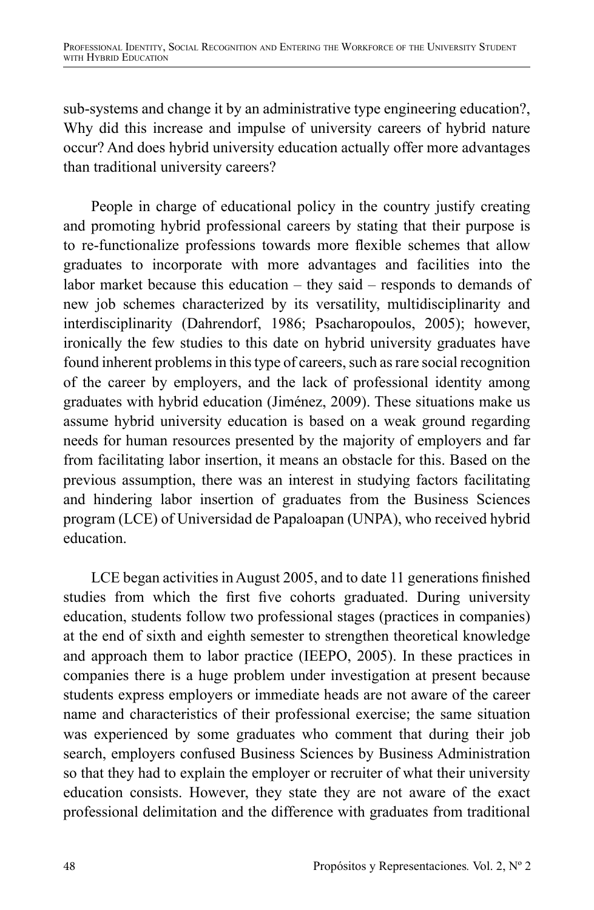sub-systems and change it by an administrative type engineering education?, Why did this increase and impulse of university careers of hybrid nature occur? And does hybrid university education actually offer more advantages than traditional university careers?

People in charge of educational policy in the country justify creating and promoting hybrid professional careers by stating that their purpose is to re-functionalize professions towards more flexible schemes that allow graduates to incorporate with more advantages and facilities into the labor market because this education – they said – responds to demands of new job schemes characterized by its versatility, multidisciplinarity and interdisciplinarity (Dahrendorf, 1986; Psacharopoulos, 2005); however, ironically the few studies to this date on hybrid university graduates have found inherent problems in this type of careers, such as rare social recognition of the career by employers, and the lack of professional identity among graduates with hybrid education (Jiménez, 2009). These situations make us assume hybrid university education is based on a weak ground regarding needs for human resources presented by the majority of employers and far from facilitating labor insertion, it means an obstacle for this. Based on the previous assumption, there was an interest in studying factors facilitating and hindering labor insertion of graduates from the Business Sciences program (LCE) of Universidad de Papaloapan (UNPA), who received hybrid education.

LCE began activities in August 2005, and to date 11 generations finished studies from which the first five cohorts graduated. During university education, students follow two professional stages (practices in companies) at the end of sixth and eighth semester to strengthen theoretical knowledge and approach them to labor practice (IEEPO, 2005). In these practices in companies there is a huge problem under investigation at present because students express employers or immediate heads are not aware of the career name and characteristics of their professional exercise; the same situation was experienced by some graduates who comment that during their job search, employers confused Business Sciences by Business Administration so that they had to explain the employer or recruiter of what their university education consists. However, they state they are not aware of the exact professional delimitation and the difference with graduates from traditional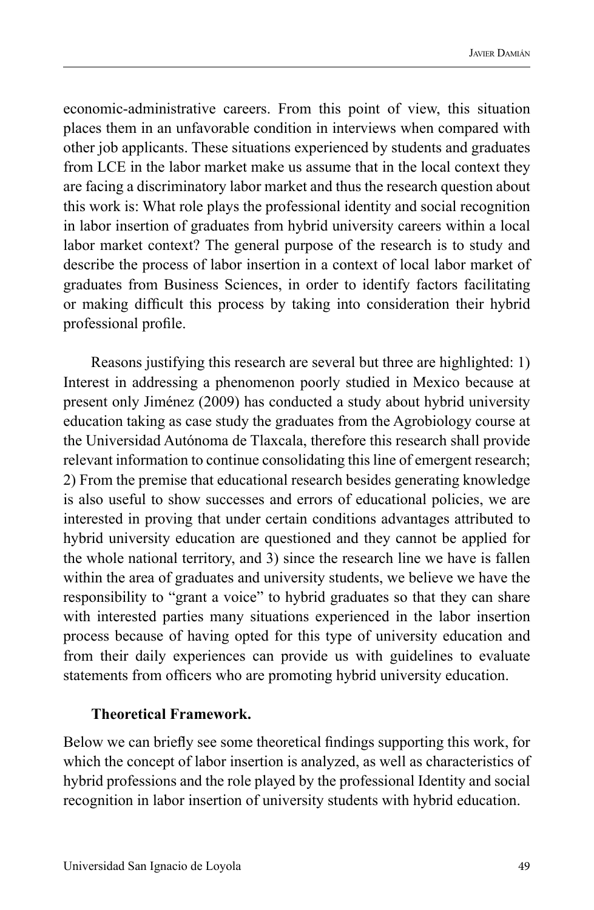economic-administrative careers. From this point of view, this situation places them in an unfavorable condition in interviews when compared with other job applicants. These situations experienced by students and graduates from LCE in the labor market make us assume that in the local context they are facing a discriminatory labor market and thus the research question about this work is: What role plays the professional identity and social recognition in labor insertion of graduates from hybrid university careers within a local labor market context? The general purpose of the research is to study and describe the process of labor insertion in a context of local labor market of graduates from Business Sciences, in order to identify factors facilitating or making difficult this process by taking into consideration their hybrid professional profile.

Reasons justifying this research are several but three are highlighted: 1) Interest in addressing a phenomenon poorly studied in Mexico because at present only Jiménez (2009) has conducted a study about hybrid university education taking as case study the graduates from the Agrobiology course at the Universidad Autónoma de Tlaxcala, therefore this research shall provide relevant information to continue consolidating this line of emergent research; 2) From the premise that educational research besides generating knowledge is also useful to show successes and errors of educational policies, we are interested in proving that under certain conditions advantages attributed to hybrid university education are questioned and they cannot be applied for the whole national territory, and 3) since the research line we have is fallen within the area of graduates and university students, we believe we have the responsibility to "grant a voice" to hybrid graduates so that they can share with interested parties many situations experienced in the labor insertion process because of having opted for this type of university education and from their daily experiences can provide us with guidelines to evaluate statements from officers who are promoting hybrid university education.

#### **Theoretical Framework.**

Below we can briefly see some theoretical findings supporting this work, for which the concept of labor insertion is analyzed, as well as characteristics of hybrid professions and the role played by the professional Identity and social recognition in labor insertion of university students with hybrid education.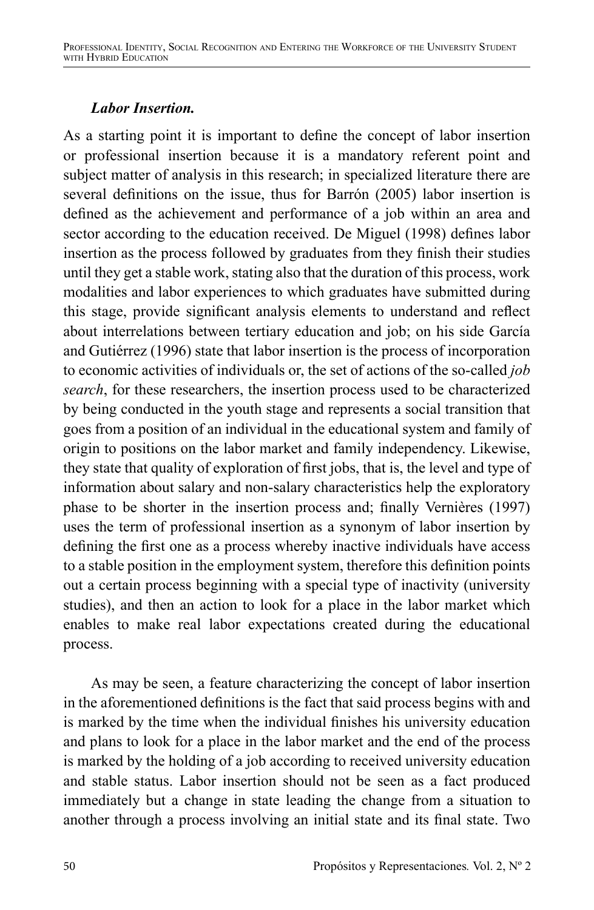### *Labor Insertion.*

As a starting point it is important to define the concept of labor insertion or professional insertion because it is a mandatory referent point and subject matter of analysis in this research; in specialized literature there are several definitions on the issue, thus for Barrón (2005) labor insertion is defined as the achievement and performance of a job within an area and sector according to the education received. De Miguel (1998) defines labor insertion as the process followed by graduates from they finish their studies until they get a stable work, stating also that the duration of this process, work modalities and labor experiences to which graduates have submitted during this stage, provide significant analysis elements to understand and reflect about interrelations between tertiary education and job; on his side García and Gutiérrez (1996) state that labor insertion is the process of incorporation to economic activities of individuals or, the set of actions of the so-called *job search*, for these researchers, the insertion process used to be characterized by being conducted in the youth stage and represents a social transition that goes from a position of an individual in the educational system and family of origin to positions on the labor market and family independency. Likewise, they state that quality of exploration of first jobs, that is, the level and type of information about salary and non-salary characteristics help the exploratory phase to be shorter in the insertion process and; finally Vernières (1997) uses the term of professional insertion as a synonym of labor insertion by defining the first one as a process whereby inactive individuals have access to a stable position in the employment system, therefore this definition points out a certain process beginning with a special type of inactivity (university studies), and then an action to look for a place in the labor market which enables to make real labor expectations created during the educational process.

As may be seen, a feature characterizing the concept of labor insertion in the aforementioned definitions is the fact that said process begins with and is marked by the time when the individual finishes his university education and plans to look for a place in the labor market and the end of the process is marked by the holding of a job according to received university education and stable status. Labor insertion should not be seen as a fact produced immediately but a change in state leading the change from a situation to another through a process involving an initial state and its final state. Two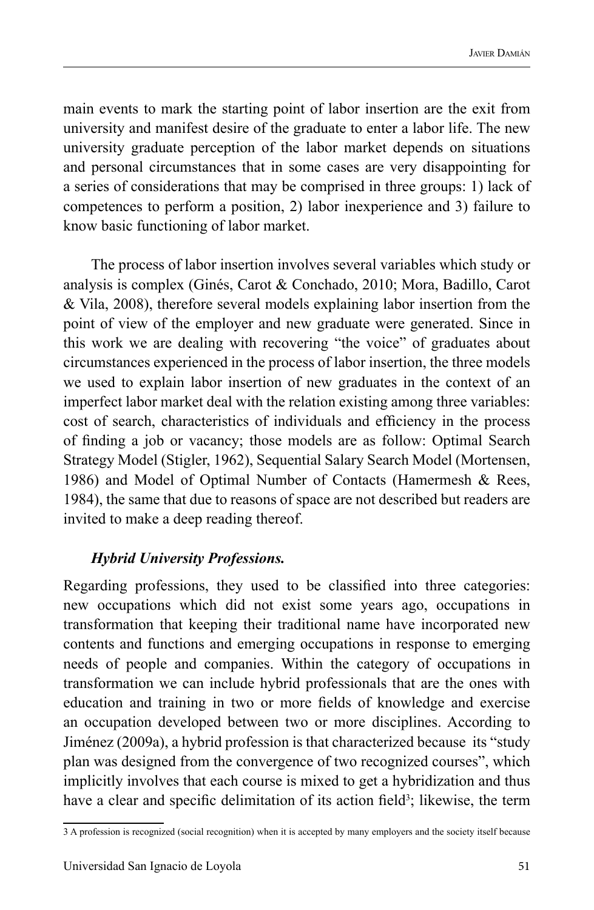main events to mark the starting point of labor insertion are the exit from university and manifest desire of the graduate to enter a labor life. The new university graduate perception of the labor market depends on situations and personal circumstances that in some cases are very disappointing for a series of considerations that may be comprised in three groups: 1) lack of competences to perform a position, 2) labor inexperience and 3) failure to know basic functioning of labor market.

The process of labor insertion involves several variables which study or analysis is complex (Ginés, Carot & Conchado, 2010; Mora, Badillo, Carot & Vila, 2008), therefore several models explaining labor insertion from the point of view of the employer and new graduate were generated. Since in this work we are dealing with recovering "the voice" of graduates about circumstances experienced in the process of labor insertion, the three models we used to explain labor insertion of new graduates in the context of an imperfect labor market deal with the relation existing among three variables: cost of search, characteristics of individuals and efficiency in the process of finding a job or vacancy; those models are as follow: Optimal Search Strategy Model (Stigler, 1962), Sequential Salary Search Model (Mortensen, 1986) and Model of Optimal Number of Contacts (Hamermesh & Rees, 1984), the same that due to reasons of space are not described but readers are invited to make a deep reading thereof.

#### *Hybrid University Professions.*

Regarding professions, they used to be classified into three categories: new occupations which did not exist some years ago, occupations in transformation that keeping their traditional name have incorporated new contents and functions and emerging occupations in response to emerging needs of people and companies. Within the category of occupations in transformation we can include hybrid professionals that are the ones with education and training in two or more fields of knowledge and exercise an occupation developed between two or more disciplines. According to Jiménez (2009a), a hybrid profession is that characterized because its "study plan was designed from the convergence of two recognized courses", which implicitly involves that each course is mixed to get a hybridization and thus have a clear and specific delimitation of its action field<sup>3</sup>; likewise, the term

<sup>3</sup> A profession is recognized (social recognition) when it is accepted by many employers and the society itself because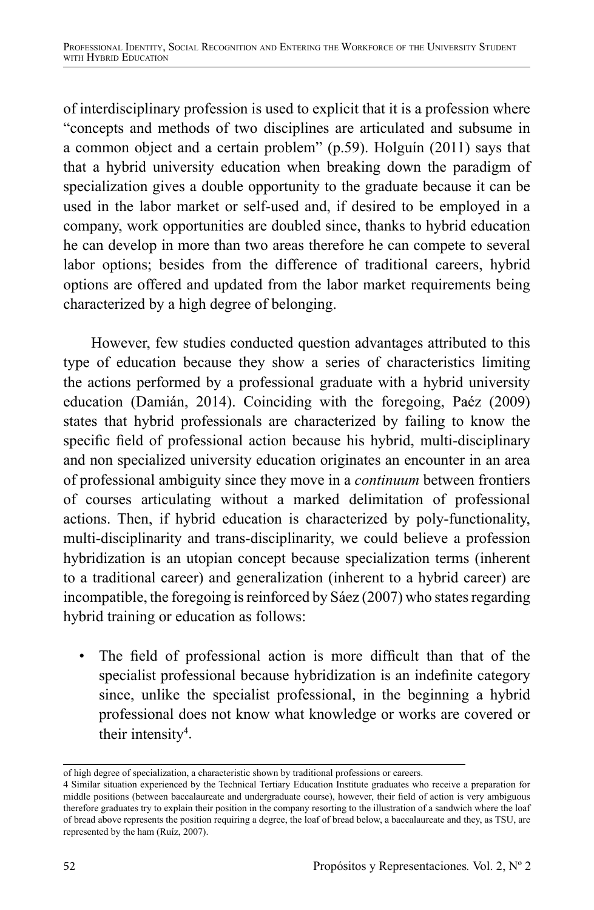of interdisciplinary profession is used to explicit that it is a profession where "concepts and methods of two disciplines are articulated and subsume in a common object and a certain problem" (p.59). Holguín (2011) says that that a hybrid university education when breaking down the paradigm of specialization gives a double opportunity to the graduate because it can be used in the labor market or self-used and, if desired to be employed in a company, work opportunities are doubled since, thanks to hybrid education he can develop in more than two areas therefore he can compete to several labor options; besides from the difference of traditional careers, hybrid options are offered and updated from the labor market requirements being characterized by a high degree of belonging.

However, few studies conducted question advantages attributed to this type of education because they show a series of characteristics limiting the actions performed by a professional graduate with a hybrid university education (Damián, 2014). Coinciding with the foregoing, Paéz (2009) states that hybrid professionals are characterized by failing to know the specific field of professional action because his hybrid, multi-disciplinary and non specialized university education originates an encounter in an area of professional ambiguity since they move in a *continuum* between frontiers of courses articulating without a marked delimitation of professional actions. Then, if hybrid education is characterized by poly-functionality, multi-disciplinarity and trans-disciplinarity, we could believe a profession hybridization is an utopian concept because specialization terms (inherent to a traditional career) and generalization (inherent to a hybrid career) are incompatible, the foregoing is reinforced by Sáez (2007) who states regarding hybrid training or education as follows:

• The field of professional action is more difficult than that of the specialist professional because hybridization is an indefinite category since, unlike the specialist professional, in the beginning a hybrid professional does not know what knowledge or works are covered or their intensity<sup>4</sup>.

of high degree of specialization, a characteristic shown by traditional professions or careers.

<sup>4</sup> Similar situation experienced by the Technical Tertiary Education Institute graduates who receive a preparation for middle positions (between baccalaureate and undergraduate course), however, their field of action is very ambiguous therefore graduates try to explain their position in the company resorting to the illustration of a sandwich where the loaf of bread above represents the position requiring a degree, the loaf of bread below, a baccalaureate and they, as TSU, are represented by the ham (Ruíz, 2007).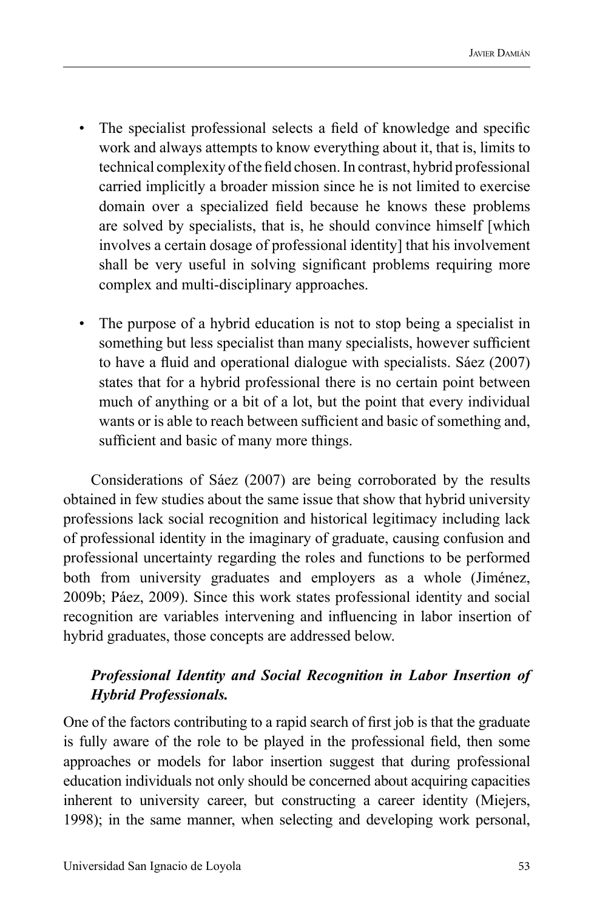- The specialist professional selects a field of knowledge and specific work and always attempts to know everything about it, that is, limits to technical complexity of the field chosen. In contrast, hybrid professional carried implicitly a broader mission since he is not limited to exercise domain over a specialized field because he knows these problems are solved by specialists, that is, he should convince himself [which involves a certain dosage of professional identity] that his involvement shall be very useful in solving significant problems requiring more complex and multi-disciplinary approaches.
- The purpose of a hybrid education is not to stop being a specialist in something but less specialist than many specialists, however sufficient to have a fluid and operational dialogue with specialists. Sáez (2007) states that for a hybrid professional there is no certain point between much of anything or a bit of a lot, but the point that every individual wants or is able to reach between sufficient and basic of something and, sufficient and basic of many more things.

Considerations of Sáez (2007) are being corroborated by the results obtained in few studies about the same issue that show that hybrid university professions lack social recognition and historical legitimacy including lack of professional identity in the imaginary of graduate, causing confusion and professional uncertainty regarding the roles and functions to be performed both from university graduates and employers as a whole (Jiménez, 2009b; Páez, 2009). Since this work states professional identity and social recognition are variables intervening and influencing in labor insertion of hybrid graduates, those concepts are addressed below.

# *Professional Identity and Social Recognition in Labor Insertion of Hybrid Professionals.*

One of the factors contributing to a rapid search of first job is that the graduate is fully aware of the role to be played in the professional field, then some approaches or models for labor insertion suggest that during professional education individuals not only should be concerned about acquiring capacities inherent to university career, but constructing a career identity (Miejers, 1998); in the same manner, when selecting and developing work personal,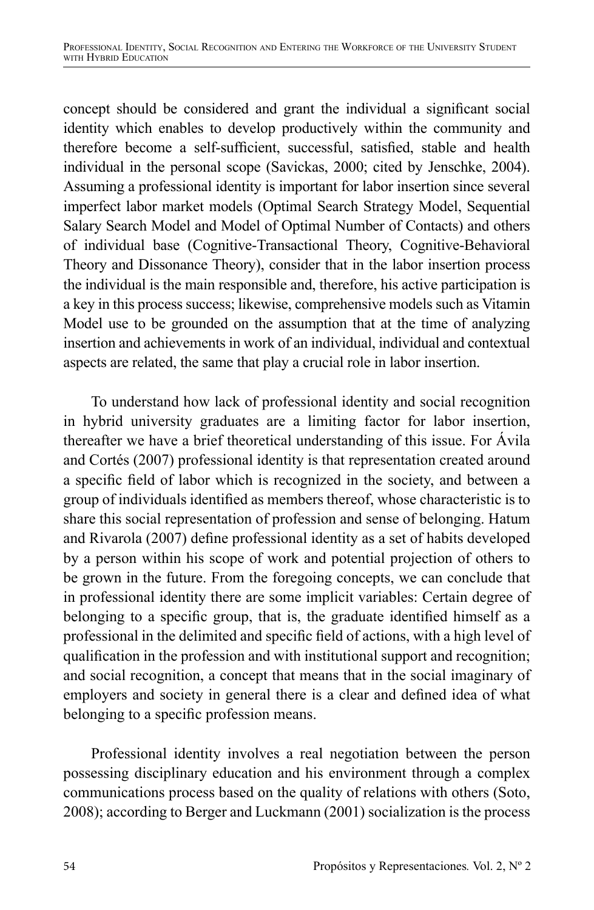concept should be considered and grant the individual a significant social identity which enables to develop productively within the community and therefore become a self-sufficient, successful, satisfied, stable and health individual in the personal scope (Savickas, 2000; cited by Jenschke, 2004). Assuming a professional identity is important for labor insertion since several imperfect labor market models (Optimal Search Strategy Model, Sequential Salary Search Model and Model of Optimal Number of Contacts) and others of individual base (Cognitive-Transactional Theory, Cognitive-Behavioral Theory and Dissonance Theory), consider that in the labor insertion process the individual is the main responsible and, therefore, his active participation is a key in this process success; likewise, comprehensive models such as Vitamin Model use to be grounded on the assumption that at the time of analyzing insertion and achievements in work of an individual, individual and contextual aspects are related, the same that play a crucial role in labor insertion.

To understand how lack of professional identity and social recognition in hybrid university graduates are a limiting factor for labor insertion, thereafter we have a brief theoretical understanding of this issue. For Ávila and Cortés (2007) professional identity is that representation created around a specific field of labor which is recognized in the society, and between a group of individuals identified as members thereof, whose characteristic is to share this social representation of profession and sense of belonging. Hatum and Rivarola (2007) define professional identity as a set of habits developed by a person within his scope of work and potential projection of others to be grown in the future. From the foregoing concepts, we can conclude that in professional identity there are some implicit variables: Certain degree of belonging to a specific group, that is, the graduate identified himself as a professional in the delimited and specific field of actions, with a high level of qualification in the profession and with institutional support and recognition; and social recognition, a concept that means that in the social imaginary of employers and society in general there is a clear and defined idea of what belonging to a specific profession means.

Professional identity involves a real negotiation between the person possessing disciplinary education and his environment through a complex communications process based on the quality of relations with others (Soto, 2008); according to Berger and Luckmann (2001) socialization is the process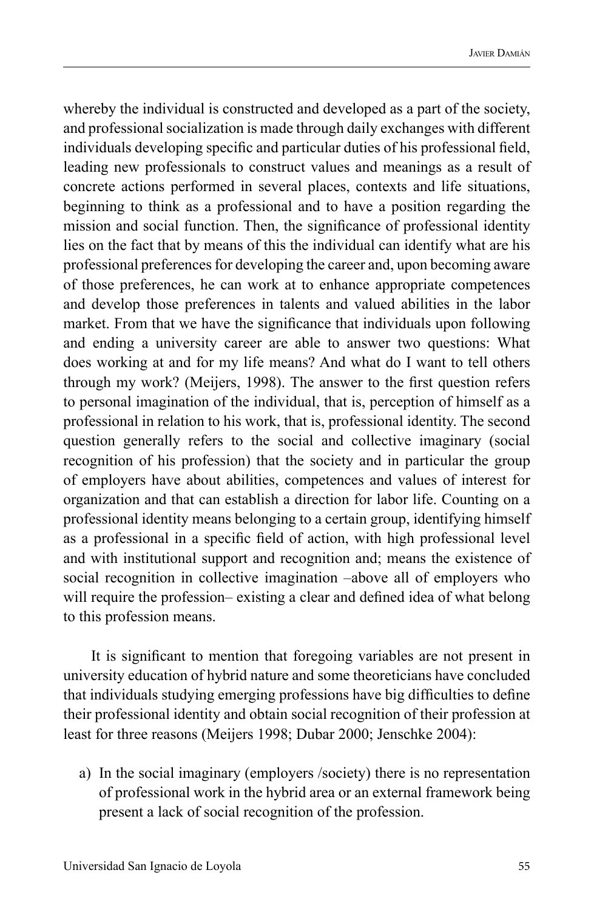whereby the individual is constructed and developed as a part of the society, and professional socialization is made through daily exchanges with different individuals developing specific and particular duties of his professional field, leading new professionals to construct values and meanings as a result of concrete actions performed in several places, contexts and life situations, beginning to think as a professional and to have a position regarding the mission and social function. Then, the significance of professional identity lies on the fact that by means of this the individual can identify what are his professional preferences for developing the career and, upon becoming aware of those preferences, he can work at to enhance appropriate competences and develop those preferences in talents and valued abilities in the labor market. From that we have the significance that individuals upon following and ending a university career are able to answer two questions: What does working at and for my life means? And what do I want to tell others through my work? (Meijers, 1998). The answer to the first question refers to personal imagination of the individual, that is, perception of himself as a professional in relation to his work, that is, professional identity. The second question generally refers to the social and collective imaginary (social recognition of his profession) that the society and in particular the group of employers have about abilities, competences and values of interest for organization and that can establish a direction for labor life. Counting on a professional identity means belonging to a certain group, identifying himself as a professional in a specific field of action, with high professional level and with institutional support and recognition and; means the existence of social recognition in collective imagination –above all of employers who will require the profession– existing a clear and defined idea of what belong to this profession means.

It is significant to mention that foregoing variables are not present in university education of hybrid nature and some theoreticians have concluded that individuals studying emerging professions have big difficulties to define their professional identity and obtain social recognition of their profession at least for three reasons (Meijers 1998; Dubar 2000; Jenschke 2004):

a) In the social imaginary (employers /society) there is no representation of professional work in the hybrid area or an external framework being present a lack of social recognition of the profession.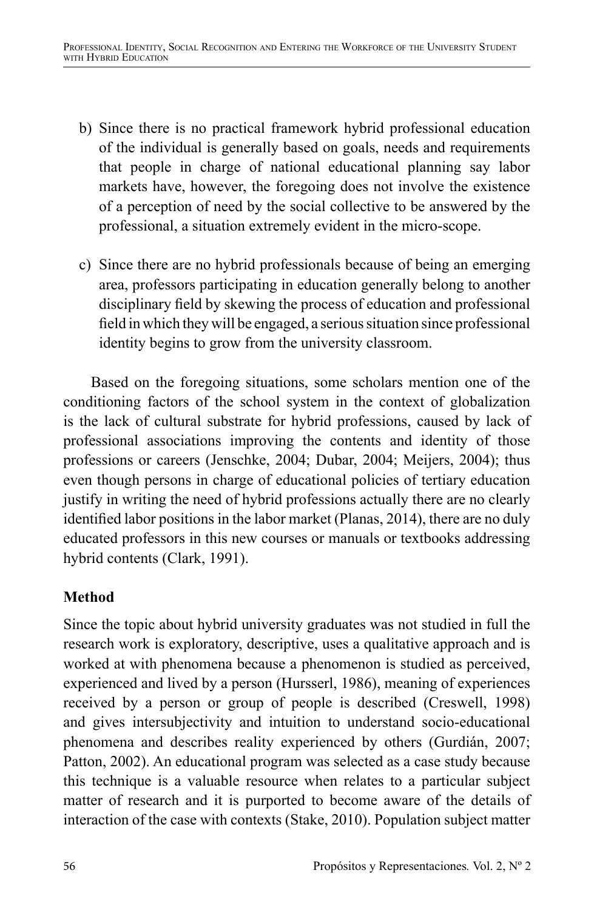- b) Since there is no practical framework hybrid professional education of the individual is generally based on goals, needs and requirements that people in charge of national educational planning say labor markets have, however, the foregoing does not involve the existence of a perception of need by the social collective to be answered by the professional, a situation extremely evident in the micro-scope.
- c) Since there are no hybrid professionals because of being an emerging area, professors participating in education generally belong to another disciplinary field by skewing the process of education and professional field in which they will be engaged, a serious situation since professional identity begins to grow from the university classroom.

Based on the foregoing situations, some scholars mention one of the conditioning factors of the school system in the context of globalization is the lack of cultural substrate for hybrid professions, caused by lack of professional associations improving the contents and identity of those professions or careers (Jenschke, 2004; Dubar, 2004; Meijers, 2004); thus even though persons in charge of educational policies of tertiary education justify in writing the need of hybrid professions actually there are no clearly identified labor positions in the labor market (Planas, 2014), there are no duly educated professors in this new courses or manuals or textbooks addressing hybrid contents (Clark, 1991).

# **Method**

Since the topic about hybrid university graduates was not studied in full the research work is exploratory, descriptive, uses a qualitative approach and is worked at with phenomena because a phenomenon is studied as perceived, experienced and lived by a person (Hursserl, 1986), meaning of experiences received by a person or group of people is described (Creswell, 1998) and gives intersubjectivity and intuition to understand socio-educational phenomena and describes reality experienced by others (Gurdián, 2007; Patton, 2002). An educational program was selected as a case study because this technique is a valuable resource when relates to a particular subject matter of research and it is purported to become aware of the details of interaction of the case with contexts (Stake, 2010). Population subject matter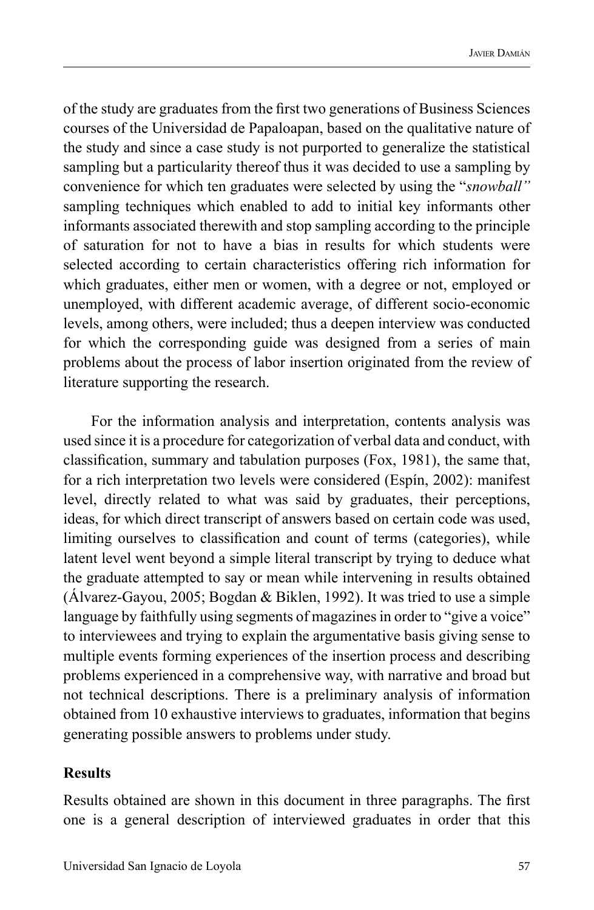of the study are graduates from the first two generations of Business Sciences courses of the Universidad de Papaloapan, based on the qualitative nature of the study and since a case study is not purported to generalize the statistical sampling but a particularity thereof thus it was decided to use a sampling by convenience for which ten graduates were selected by using the "*snowball"*  sampling techniques which enabled to add to initial key informants other informants associated therewith and stop sampling according to the principle of saturation for not to have a bias in results for which students were selected according to certain characteristics offering rich information for which graduates, either men or women, with a degree or not, employed or unemployed, with different academic average, of different socio-economic levels, among others, were included; thus a deepen interview was conducted for which the corresponding guide was designed from a series of main problems about the process of labor insertion originated from the review of literature supporting the research.

For the information analysis and interpretation, contents analysis was used since it is a procedure for categorization of verbal data and conduct, with classification, summary and tabulation purposes (Fox, 1981), the same that, for a rich interpretation two levels were considered (Espín, 2002): manifest level, directly related to what was said by graduates, their perceptions, ideas, for which direct transcript of answers based on certain code was used, limiting ourselves to classification and count of terms (categories), while latent level went beyond a simple literal transcript by trying to deduce what the graduate attempted to say or mean while intervening in results obtained (Álvarez-Gayou, 2005; Bogdan & Biklen, 1992). It was tried to use a simple language by faithfully using segments of magazines in order to "give a voice" to interviewees and trying to explain the argumentative basis giving sense to multiple events forming experiences of the insertion process and describing problems experienced in a comprehensive way, with narrative and broad but not technical descriptions. There is a preliminary analysis of information obtained from 10 exhaustive interviews to graduates, information that begins generating possible answers to problems under study.

#### **Results**

Results obtained are shown in this document in three paragraphs. The first one is a general description of interviewed graduates in order that this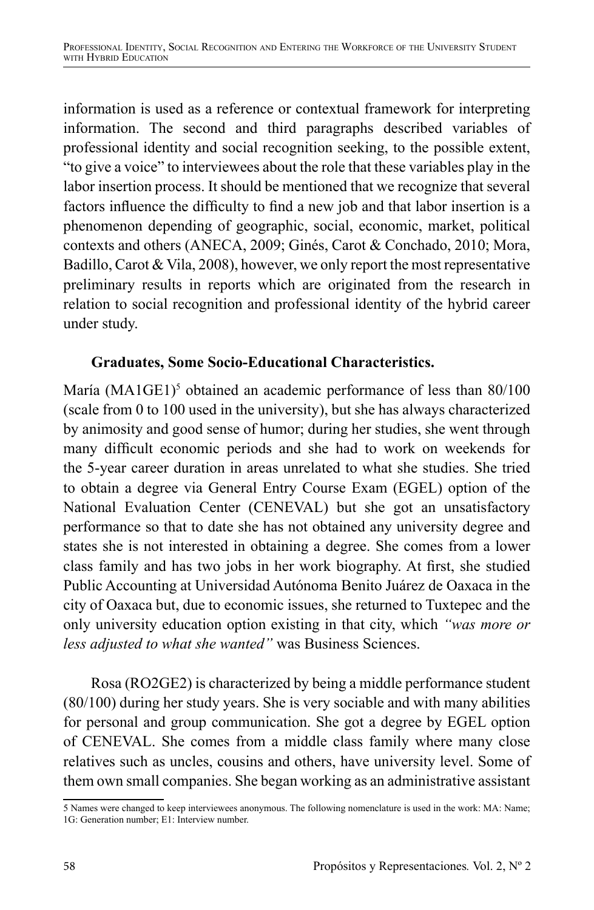information is used as a reference or contextual framework for interpreting information. The second and third paragraphs described variables of professional identity and social recognition seeking, to the possible extent, "to give a voice" to interviewees about the role that these variables play in the labor insertion process. It should be mentioned that we recognize that several factors influence the difficulty to find a new job and that labor insertion is a phenomenon depending of geographic, social, economic, market, political contexts and others (ANECA, 2009; Ginés, Carot & Conchado, 2010; Mora, Badillo, Carot & Vila, 2008), however, we only report the most representative preliminary results in reports which are originated from the research in relation to social recognition and professional identity of the hybrid career under study.

## **Graduates, Some Socio-Educational Characteristics.**

María (MA1GE1)<sup>5</sup> obtained an academic performance of less than 80/100 (scale from 0 to 100 used in the university), but she has always characterized by animosity and good sense of humor; during her studies, she went through many difficult economic periods and she had to work on weekends for the 5-year career duration in areas unrelated to what she studies. She tried to obtain a degree via General Entry Course Exam (EGEL) option of the National Evaluation Center (CENEVAL) but she got an unsatisfactory performance so that to date she has not obtained any university degree and states she is not interested in obtaining a degree. She comes from a lower class family and has two jobs in her work biography. At first, she studied Public Accounting at Universidad Autónoma Benito Juárez de Oaxaca in the city of Oaxaca but, due to economic issues, she returned to Tuxtepec and the only university education option existing in that city, which *"was more or less adjusted to what she wanted"* was Business Sciences.

Rosa (RO2GE2) is characterized by being a middle performance student (80/100) during her study years. She is very sociable and with many abilities for personal and group communication. She got a degree by EGEL option of CENEVAL. She comes from a middle class family where many close relatives such as uncles, cousins and others, have university level. Some of them own small companies. She began working as an administrative assistant

<sup>5</sup> Names were changed to keep interviewees anonymous. The following nomenclature is used in the work: MA: Name; 1G: Generation number; E1: Interview number.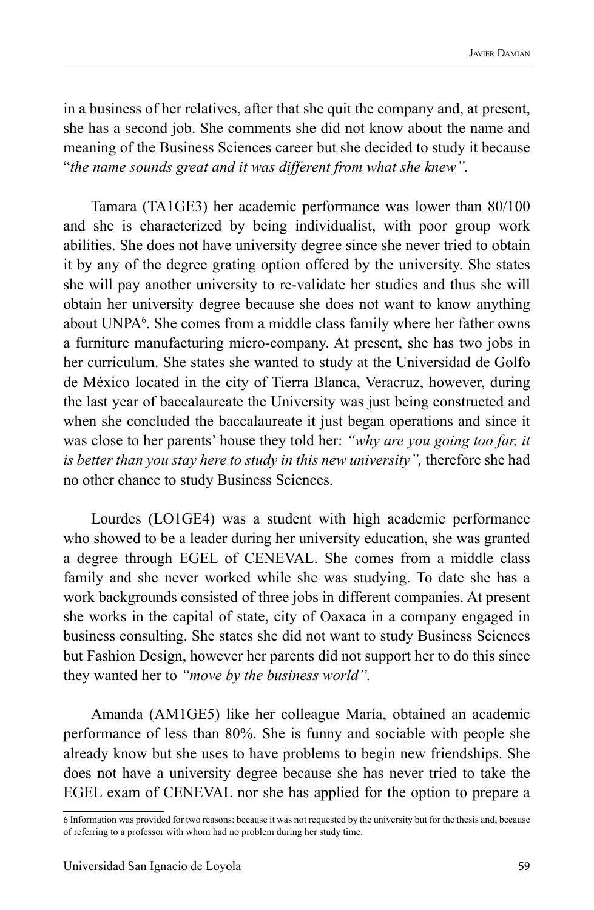in a business of her relatives, after that she quit the company and, at present, she has a second job. She comments she did not know about the name and meaning of the Business Sciences career but she decided to study it because "*the name sounds great and it was different from what she knew".*

Tamara (TA1GE3) her academic performance was lower than 80/100 and she is characterized by being individualist, with poor group work abilities. She does not have university degree since she never tried to obtain it by any of the degree grating option offered by the university. She states she will pay another university to re-validate her studies and thus she will obtain her university degree because she does not want to know anything about UNPA<sup>6</sup>. She comes from a middle class family where her father owns a furniture manufacturing micro-company. At present, she has two jobs in her curriculum. She states she wanted to study at the Universidad de Golfo de México located in the city of Tierra Blanca, Veracruz, however, during the last year of baccalaureate the University was just being constructed and when she concluded the baccalaureate it just began operations and since it was close to her parents' house they told her: *"why are you going too far, it is better than you stay here to study in this new university",* therefore she had no other chance to study Business Sciences.

Lourdes (LO1GE4) was a student with high academic performance who showed to be a leader during her university education, she was granted a degree through EGEL of CENEVAL. She comes from a middle class family and she never worked while she was studying. To date she has a work backgrounds consisted of three jobs in different companies. At present she works in the capital of state, city of Oaxaca in a company engaged in business consulting. She states she did not want to study Business Sciences but Fashion Design, however her parents did not support her to do this since they wanted her to *"move by the business world".*

Amanda (AM1GE5) like her colleague María, obtained an academic performance of less than 80%. She is funny and sociable with people she already know but she uses to have problems to begin new friendships. She does not have a university degree because she has never tried to take the EGEL exam of CENEVAL nor she has applied for the option to prepare a

<sup>6</sup> Information was provided for two reasons: because it was not requested by the university but for the thesis and, because of referring to a professor with whom had no problem during her study time.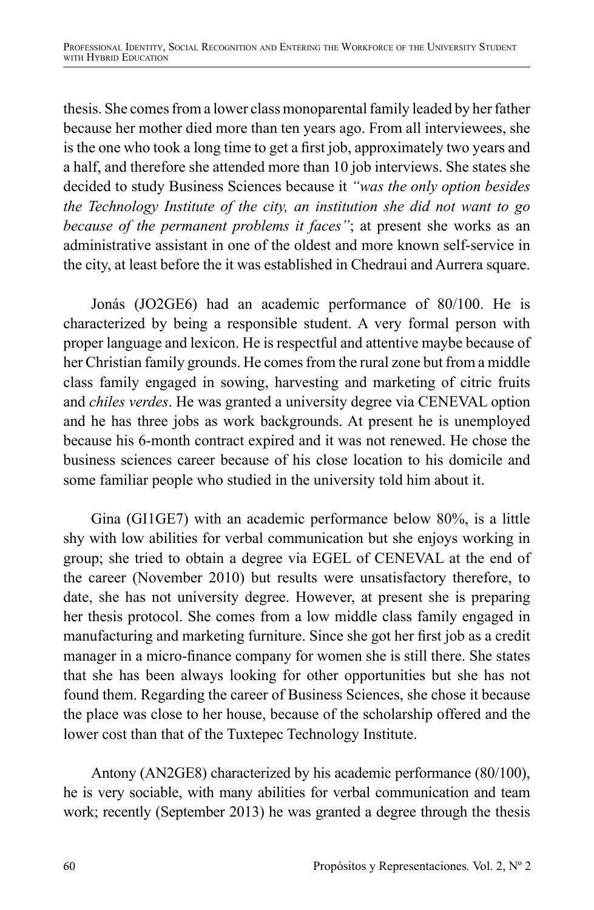thesis. She comes from a lower class monoparental family leaded by her father because her mother died more than ten years ago. From all interviewees, she is the one who took a long time to get a first job, approximately two years and a half, and therefore she attended more than 10 job interviews. She states she decided to study Business Sciences because it *"was the only option besides the Technology Institute of the city, an institution she did not want to go because of the permanent problems it faces"*; at present she works as an administrative assistant in one of the oldest and more known self-service in the city, at least before the it was established in Chedraui and Aurrera square.

Jonás (JO2GE6) had an academic performance of 80/100. He is characterized by being a responsible student. A very formal person with proper language and lexicon. He is respectful and attentive maybe because of her Christian family grounds. He comes from the rural zone but from a middle class family engaged in sowing, harvesting and marketing of citric fruits and *chiles verdes*. He was granted a university degree via CENEVAL option and he has three jobs as work backgrounds. At present he is unemployed because his 6-month contract expired and it was not renewed. He chose the business sciences career because of his close location to his domicile and some familiar people who studied in the university told him about it.

Gina (GI1GE7) with an academic performance below 80%, is a little shy with low abilities for verbal communication but she enjoys working in group; she tried to obtain a degree via EGEL of CENEVAL at the end of the career (November 2010) but results were unsatisfactory therefore, to date, she has not university degree. However, at present she is preparing her thesis protocol. She comes from a low middle class family engaged in manufacturing and marketing furniture. Since she got her first job as a credit manager in a micro-finance company for women she is still there. She states that she has been always looking for other opportunities but she has not found them. Regarding the career of Business Sciences, she chose it because the place was close to her house, because of the scholarship offered and the lower cost than that of the Tuxtepec Technology Institute.

Antony (AN2GE8) characterized by his academic performance (80/100), he is very sociable, with many abilities for verbal communication and team work; recently (September 2013) he was granted a degree through the thesis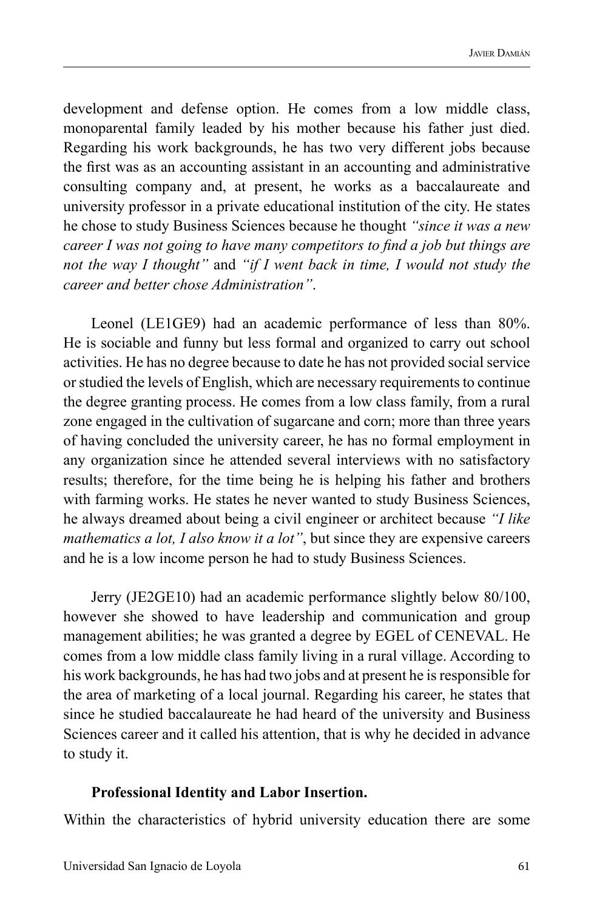development and defense option. He comes from a low middle class, monoparental family leaded by his mother because his father just died. Regarding his work backgrounds, he has two very different jobs because the first was as an accounting assistant in an accounting and administrative consulting company and, at present, he works as a baccalaureate and university professor in a private educational institution of the city. He states he chose to study Business Sciences because he thought *"since it was a new career I was not going to have many competitors to find a job but things are not the way I thought"* and *"if I went back in time, I would not study the career and better chose Administration"*.

Leonel (LE1GE9) had an academic performance of less than 80%. He is sociable and funny but less formal and organized to carry out school activities. He has no degree because to date he has not provided social service or studied the levels of English, which are necessary requirements to continue the degree granting process. He comes from a low class family, from a rural zone engaged in the cultivation of sugarcane and corn; more than three years of having concluded the university career, he has no formal employment in any organization since he attended several interviews with no satisfactory results; therefore, for the time being he is helping his father and brothers with farming works. He states he never wanted to study Business Sciences, he always dreamed about being a civil engineer or architect because *"I like mathematics a lot, I also know it a lot"*, but since they are expensive careers and he is a low income person he had to study Business Sciences.

Jerry (JE2GE10) had an academic performance slightly below 80/100, however she showed to have leadership and communication and group management abilities; he was granted a degree by EGEL of CENEVAL. He comes from a low middle class family living in a rural village. According to his work backgrounds, he has had two jobs and at present he is responsible for the area of marketing of a local journal. Regarding his career, he states that since he studied baccalaureate he had heard of the university and Business Sciences career and it called his attention, that is why he decided in advance to study it.

#### **Professional Identity and Labor Insertion.**

Within the characteristics of hybrid university education there are some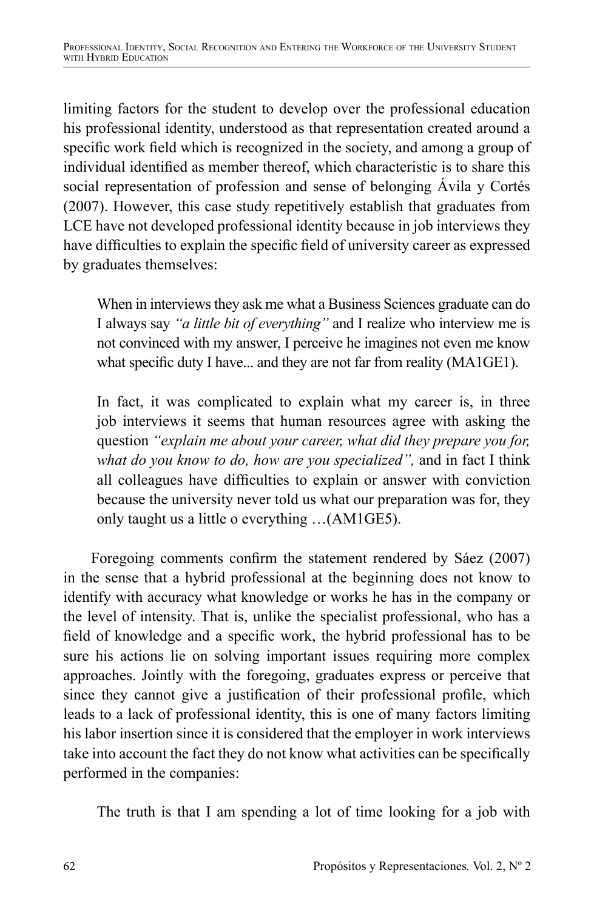limiting factors for the student to develop over the professional education his professional identity, understood as that representation created around a specific work field which is recognized in the society, and among a group of individual identified as member thereof, which characteristic is to share this social representation of profession and sense of belonging Ávila y Cortés (2007). However, this case study repetitively establish that graduates from LCE have not developed professional identity because in job interviews they have difficulties to explain the specific field of university career as expressed by graduates themselves:

When in interviews they ask me what a Business Sciences graduate can do I always say *"a little bit of everything"* and I realize who interview me is not convinced with my answer, I perceive he imagines not even me know what specific duty I have... and they are not far from reality (MA1GE1).

In fact, it was complicated to explain what my career is, in three job interviews it seems that human resources agree with asking the question *"explain me about your career, what did they prepare you for, what do you know to do, how are you specialized",* and in fact I think all colleagues have difficulties to explain or answer with conviction because the university never told us what our preparation was for, they only taught us a little o everything …(AM1GE5).

Foregoing comments confirm the statement rendered by Sáez (2007) in the sense that a hybrid professional at the beginning does not know to identify with accuracy what knowledge or works he has in the company or the level of intensity. That is, unlike the specialist professional, who has a field of knowledge and a specific work, the hybrid professional has to be sure his actions lie on solving important issues requiring more complex approaches. Jointly with the foregoing, graduates express or perceive that since they cannot give a justification of their professional profile, which leads to a lack of professional identity, this is one of many factors limiting his labor insertion since it is considered that the employer in work interviews take into account the fact they do not know what activities can be specifically performed in the companies:

The truth is that I am spending a lot of time looking for a job with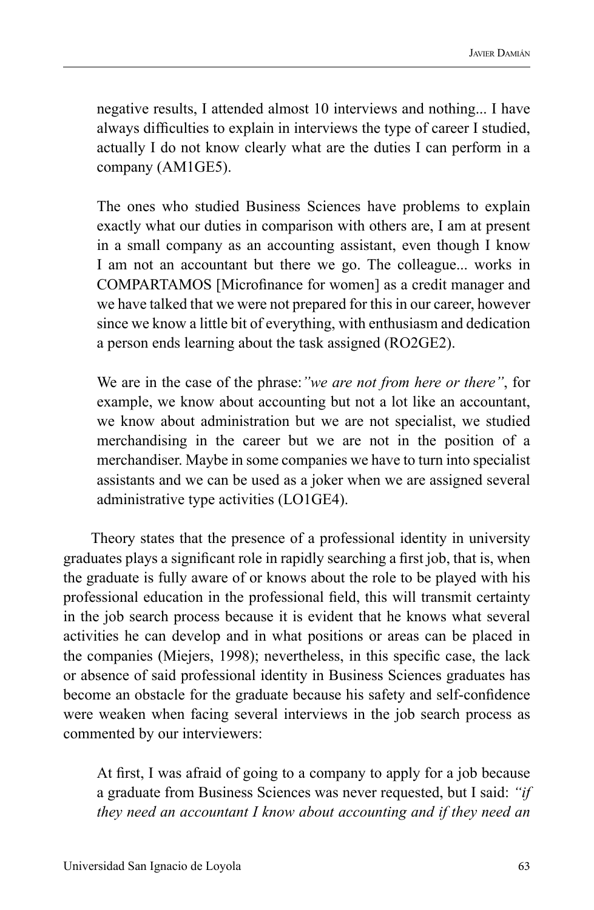negative results, I attended almost 10 interviews and nothing... I have always difficulties to explain in interviews the type of career I studied, actually I do not know clearly what are the duties I can perform in a company (AM1GE5).

The ones who studied Business Sciences have problems to explain exactly what our duties in comparison with others are, I am at present in a small company as an accounting assistant, even though I know I am not an accountant but there we go. The colleague... works in COMPARTAMOS [Microfinance for women] as a credit manager and we have talked that we were not prepared for this in our career, however since we know a little bit of everything, with enthusiasm and dedication a person ends learning about the task assigned (RO2GE2).

We are in the case of the phrase:*"we are not from here or there"*, for example, we know about accounting but not a lot like an accountant, we know about administration but we are not specialist, we studied merchandising in the career but we are not in the position of a merchandiser. Maybe in some companies we have to turn into specialist assistants and we can be used as a joker when we are assigned several administrative type activities (LO1GE4).

Theory states that the presence of a professional identity in university graduates plays a significant role in rapidly searching a first job, that is, when the graduate is fully aware of or knows about the role to be played with his professional education in the professional field, this will transmit certainty in the job search process because it is evident that he knows what several activities he can develop and in what positions or areas can be placed in the companies (Miejers, 1998); nevertheless, in this specific case, the lack or absence of said professional identity in Business Sciences graduates has become an obstacle for the graduate because his safety and self-confidence were weaken when facing several interviews in the job search process as commented by our interviewers:

At first, I was afraid of going to a company to apply for a job because a graduate from Business Sciences was never requested, but I said: *"if they need an accountant I know about accounting and if they need an*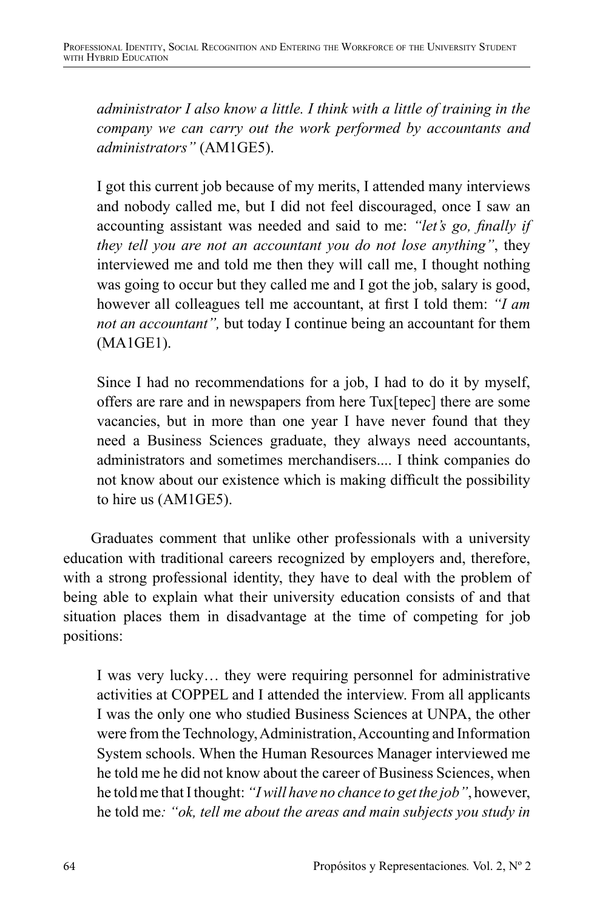*administrator I also know a little. I think with a little of training in the company we can carry out the work performed by accountants and administrators"* (AM1GE5).

I got this current job because of my merits, I attended many interviews and nobody called me, but I did not feel discouraged, once I saw an accounting assistant was needed and said to me: *"let's go, finally if they tell you are not an accountant you do not lose anything"*, they interviewed me and told me then they will call me, I thought nothing was going to occur but they called me and I got the job, salary is good, however all colleagues tell me accountant, at first I told them: *"I am not an accountant",* but today I continue being an accountant for them (MA1GE1).

Since I had no recommendations for a job, I had to do it by myself, offers are rare and in newspapers from here Tux[tepec] there are some vacancies, but in more than one year I have never found that they need a Business Sciences graduate, they always need accountants, administrators and sometimes merchandisers.... I think companies do not know about our existence which is making difficult the possibility to hire us (AM1GE5).

Graduates comment that unlike other professionals with a university education with traditional careers recognized by employers and, therefore, with a strong professional identity, they have to deal with the problem of being able to explain what their university education consists of and that situation places them in disadvantage at the time of competing for job positions:

I was very lucky… they were requiring personnel for administrative activities at COPPEL and I attended the interview. From all applicants I was the only one who studied Business Sciences at UNPA, the other were from the Technology, Administration, Accounting and Information System schools. When the Human Resources Manager interviewed me he told me he did not know about the career of Business Sciences, when he told me that I thought: *"I will have no chance to get the job"*, however, he told me*: "ok, tell me about the areas and main subjects you study in*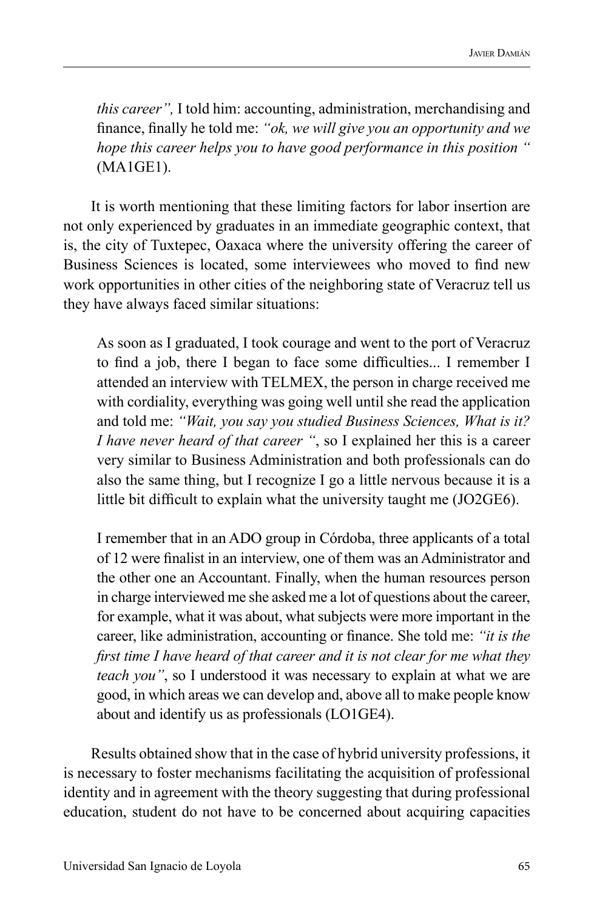*this career",* I told him: accounting, administration, merchandising and finance, finally he told me: *"ok, we will give you an opportunity and we hope this career helps you to have good performance in this position "*  (MA1GE1).

It is worth mentioning that these limiting factors for labor insertion are not only experienced by graduates in an immediate geographic context, that is, the city of Tuxtepec, Oaxaca where the university offering the career of Business Sciences is located, some interviewees who moved to find new work opportunities in other cities of the neighboring state of Veracruz tell us they have always faced similar situations:

As soon as I graduated, I took courage and went to the port of Veracruz to find a job, there I began to face some difficulties... I remember I attended an interview with TELMEX, the person in charge received me with cordiality, everything was going well until she read the application and told me: *"Wait, you say you studied Business Sciences, What is it? I have never heard of that career "*, so I explained her this is a career very similar to Business Administration and both professionals can do also the same thing, but I recognize I go a little nervous because it is a little bit difficult to explain what the university taught me (JO2GE6).

I remember that in an ADO group in Córdoba, three applicants of a total of 12 were finalist in an interview, one of them was an Administrator and the other one an Accountant. Finally, when the human resources person in charge interviewed me she asked me a lot of questions about the career, for example, what it was about, what subjects were more important in the career, like administration, accounting or finance. She told me: *"it is the first time I have heard of that career and it is not clear for me what they teach you"*, so I understood it was necessary to explain at what we are good, in which areas we can develop and, above all to make people know about and identify us as professionals (LO1GE4).

Results obtained show that in the case of hybrid university professions, it is necessary to foster mechanisms facilitating the acquisition of professional identity and in agreement with the theory suggesting that during professional education, student do not have to be concerned about acquiring capacities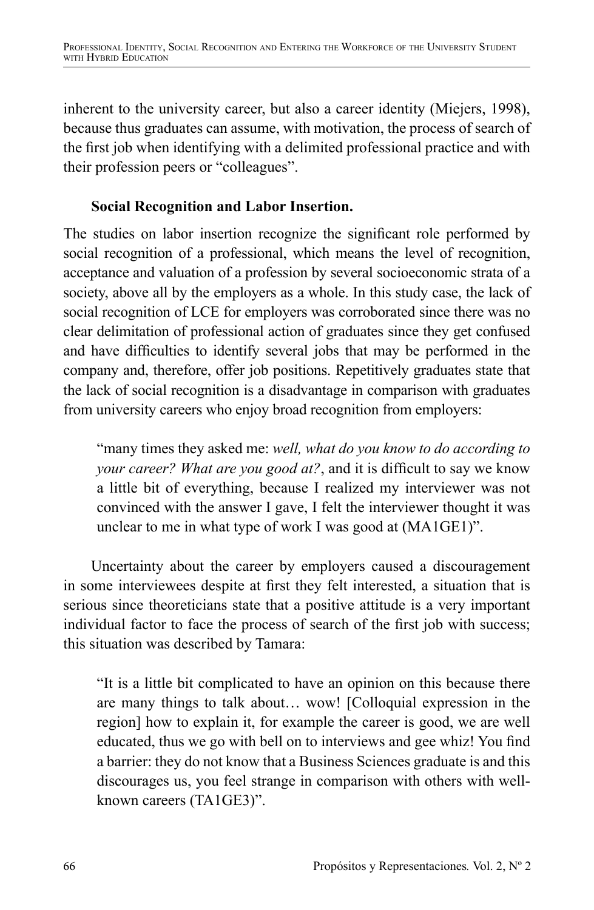inherent to the university career, but also a career identity (Miejers, 1998), because thus graduates can assume, with motivation, the process of search of the first job when identifying with a delimited professional practice and with their profession peers or "colleagues".

## **Social Recognition and Labor Insertion.**

The studies on labor insertion recognize the significant role performed by social recognition of a professional, which means the level of recognition, acceptance and valuation of a profession by several socioeconomic strata of a society, above all by the employers as a whole. In this study case, the lack of social recognition of LCE for employers was corroborated since there was no clear delimitation of professional action of graduates since they get confused and have difficulties to identify several jobs that may be performed in the company and, therefore, offer job positions. Repetitively graduates state that the lack of social recognition is a disadvantage in comparison with graduates from university careers who enjoy broad recognition from employers:

"many times they asked me: *well, what do you know to do according to your career? What are you good at?*, and it is difficult to say we know a little bit of everything, because I realized my interviewer was not convinced with the answer I gave, I felt the interviewer thought it was unclear to me in what type of work I was good at (MA1GE1)".

Uncertainty about the career by employers caused a discouragement in some interviewees despite at first they felt interested, a situation that is serious since theoreticians state that a positive attitude is a very important individual factor to face the process of search of the first job with success; this situation was described by Tamara:

"It is a little bit complicated to have an opinion on this because there are many things to talk about… wow! [Colloquial expression in the region] how to explain it, for example the career is good, we are well educated, thus we go with bell on to interviews and gee whiz! You find a barrier: they do not know that a Business Sciences graduate is and this discourages us, you feel strange in comparison with others with wellknown careers (TA1GE3)".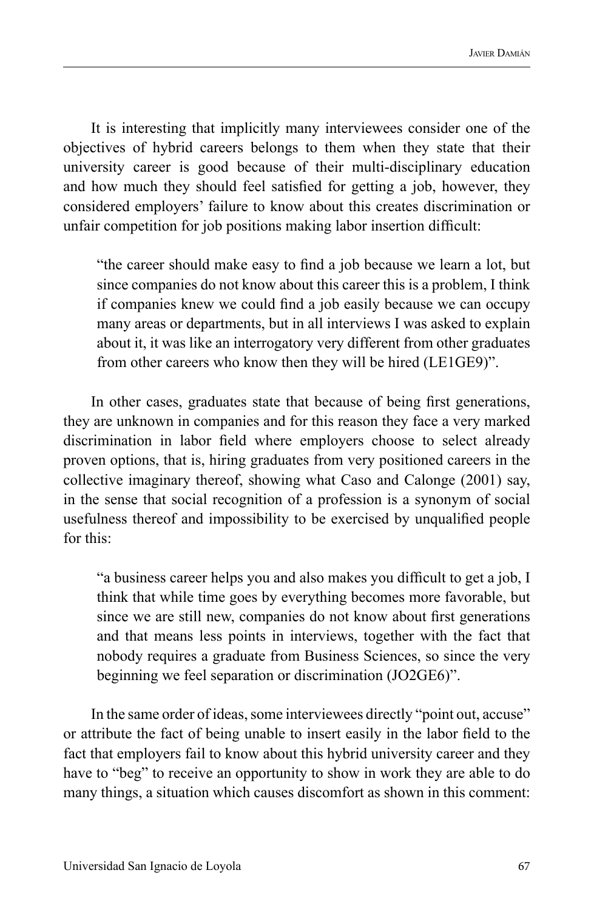It is interesting that implicitly many interviewees consider one of the objectives of hybrid careers belongs to them when they state that their university career is good because of their multi-disciplinary education and how much they should feel satisfied for getting a job, however, they considered employers' failure to know about this creates discrimination or unfair competition for job positions making labor insertion difficult:

"the career should make easy to find a job because we learn a lot, but since companies do not know about this career this is a problem, I think if companies knew we could find a job easily because we can occupy many areas or departments, but in all interviews I was asked to explain about it, it was like an interrogatory very different from other graduates from other careers who know then they will be hired (LE1GE9)".

In other cases, graduates state that because of being first generations, they are unknown in companies and for this reason they face a very marked discrimination in labor field where employers choose to select already proven options, that is, hiring graduates from very positioned careers in the collective imaginary thereof, showing what Caso and Calonge (2001) say, in the sense that social recognition of a profession is a synonym of social usefulness thereof and impossibility to be exercised by unqualified people for this:

"a business career helps you and also makes you difficult to get a job, I think that while time goes by everything becomes more favorable, but since we are still new, companies do not know about first generations and that means less points in interviews, together with the fact that nobody requires a graduate from Business Sciences, so since the very beginning we feel separation or discrimination (JO2GE6)".

In the same order of ideas, some interviewees directly "point out, accuse" or attribute the fact of being unable to insert easily in the labor field to the fact that employers fail to know about this hybrid university career and they have to "beg" to receive an opportunity to show in work they are able to do many things, a situation which causes discomfort as shown in this comment: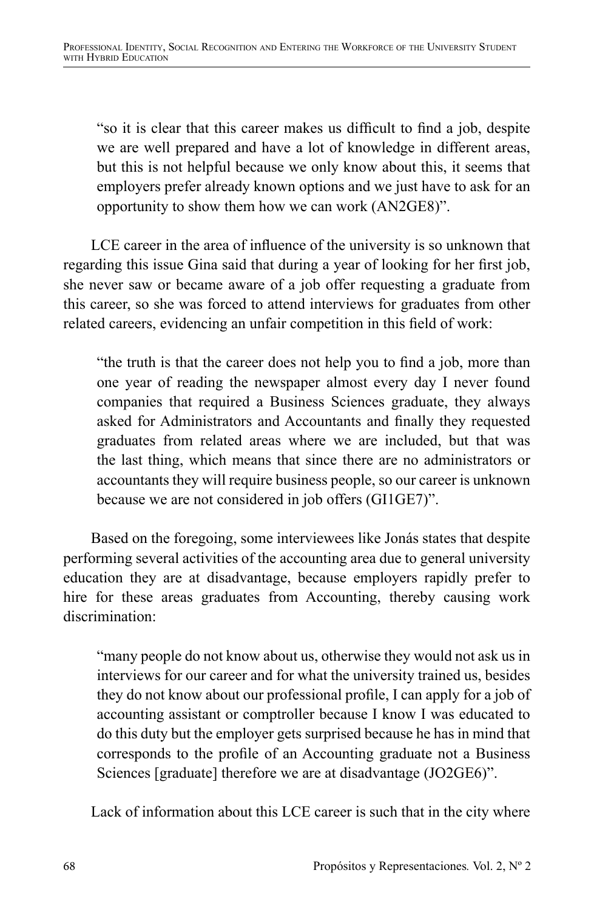"so it is clear that this career makes us difficult to find a job, despite we are well prepared and have a lot of knowledge in different areas, but this is not helpful because we only know about this, it seems that employers prefer already known options and we just have to ask for an opportunity to show them how we can work (AN2GE8)".

LCE career in the area of influence of the university is so unknown that regarding this issue Gina said that during a year of looking for her first job, she never saw or became aware of a job offer requesting a graduate from this career, so she was forced to attend interviews for graduates from other related careers, evidencing an unfair competition in this field of work:

"the truth is that the career does not help you to find a job, more than one year of reading the newspaper almost every day I never found companies that required a Business Sciences graduate, they always asked for Administrators and Accountants and finally they requested graduates from related areas where we are included, but that was the last thing, which means that since there are no administrators or accountants they will require business people, so our career is unknown because we are not considered in job offers (GI1GE7)".

Based on the foregoing, some interviewees like Jonás states that despite performing several activities of the accounting area due to general university education they are at disadvantage, because employers rapidly prefer to hire for these areas graduates from Accounting, thereby causing work discrimination:

"many people do not know about us, otherwise they would not ask us in interviews for our career and for what the university trained us, besides they do not know about our professional profile, I can apply for a job of accounting assistant or comptroller because I know I was educated to do this duty but the employer gets surprised because he has in mind that corresponds to the profile of an Accounting graduate not a Business Sciences [graduate] therefore we are at disadvantage (JO2GE6)".

Lack of information about this LCE career is such that in the city where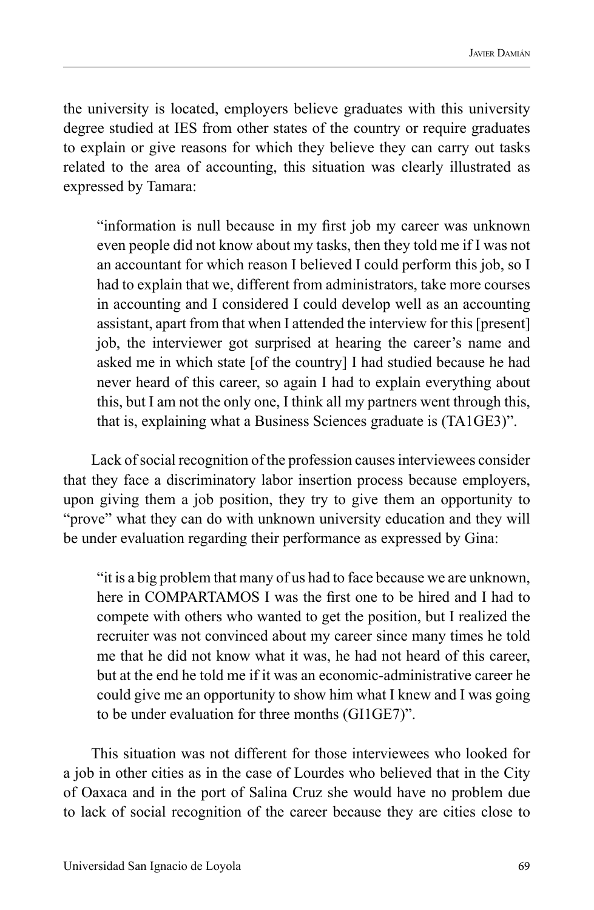the university is located, employers believe graduates with this university degree studied at IES from other states of the country or require graduates to explain or give reasons for which they believe they can carry out tasks related to the area of accounting, this situation was clearly illustrated as expressed by Tamara:

"information is null because in my first job my career was unknown even people did not know about my tasks, then they told me if I was not an accountant for which reason I believed I could perform this job, so I had to explain that we, different from administrators, take more courses in accounting and I considered I could develop well as an accounting assistant, apart from that when I attended the interview for this [present] job, the interviewer got surprised at hearing the career's name and asked me in which state [of the country] I had studied because he had never heard of this career, so again I had to explain everything about this, but I am not the only one, I think all my partners went through this, that is, explaining what a Business Sciences graduate is (TA1GE3)".

Lack of social recognition of the profession causes interviewees consider that they face a discriminatory labor insertion process because employers, upon giving them a job position, they try to give them an opportunity to "prove" what they can do with unknown university education and they will be under evaluation regarding their performance as expressed by Gina:

"it is a big problem that many of us had to face because we are unknown, here in COMPARTAMOS I was the first one to be hired and I had to compete with others who wanted to get the position, but I realized the recruiter was not convinced about my career since many times he told me that he did not know what it was, he had not heard of this career, but at the end he told me if it was an economic-administrative career he could give me an opportunity to show him what I knew and I was going to be under evaluation for three months (GI1GE7)".

This situation was not different for those interviewees who looked for a job in other cities as in the case of Lourdes who believed that in the City of Oaxaca and in the port of Salina Cruz she would have no problem due to lack of social recognition of the career because they are cities close to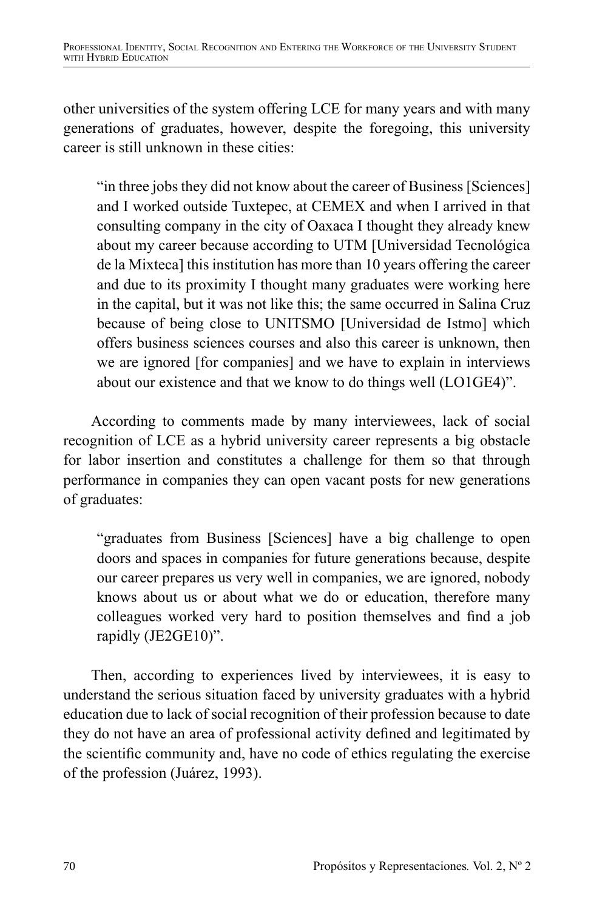other universities of the system offering LCE for many years and with many generations of graduates, however, despite the foregoing, this university career is still unknown in these cities:

"in three jobs they did not know about the career of Business [Sciences] and I worked outside Tuxtepec, at CEMEX and when I arrived in that consulting company in the city of Oaxaca I thought they already knew about my career because according to UTM [Universidad Tecnológica de la Mixteca] this institution has more than 10 years offering the career and due to its proximity I thought many graduates were working here in the capital, but it was not like this; the same occurred in Salina Cruz because of being close to UNITSMO [Universidad de Istmo] which offers business sciences courses and also this career is unknown, then we are ignored [for companies] and we have to explain in interviews about our existence and that we know to do things well (LO1GE4)".

According to comments made by many interviewees, lack of social recognition of LCE as a hybrid university career represents a big obstacle for labor insertion and constitutes a challenge for them so that through performance in companies they can open vacant posts for new generations of graduates:

"graduates from Business [Sciences] have a big challenge to open doors and spaces in companies for future generations because, despite our career prepares us very well in companies, we are ignored, nobody knows about us or about what we do or education, therefore many colleagues worked very hard to position themselves and find a job rapidly (JE2GE10)".

Then, according to experiences lived by interviewees, it is easy to understand the serious situation faced by university graduates with a hybrid education due to lack of social recognition of their profession because to date they do not have an area of professional activity defined and legitimated by the scientific community and, have no code of ethics regulating the exercise of the profession (Juárez, 1993).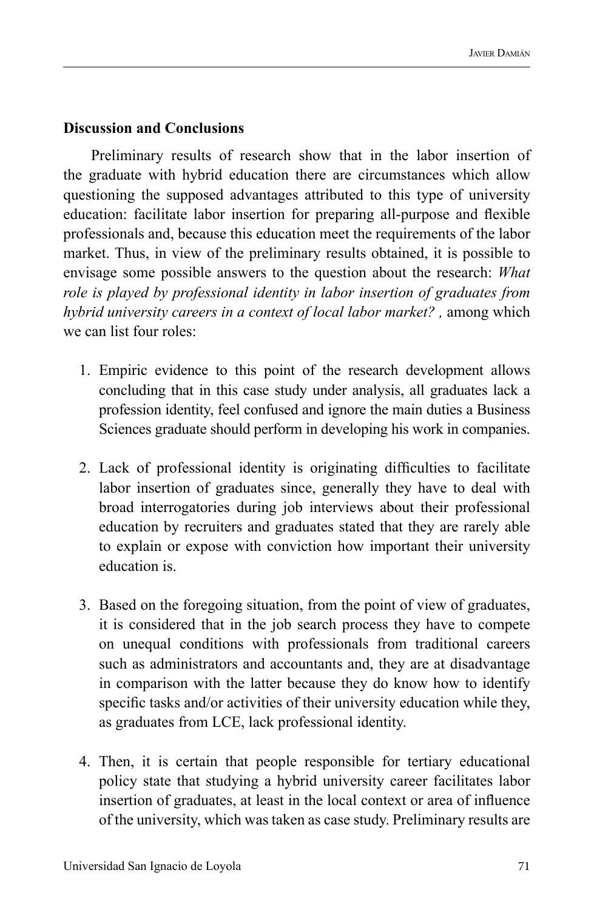#### **Discussion and Conclusions**

Preliminary results of research show that in the labor insertion of the graduate with hybrid education there are circumstances which allow questioning the supposed advantages attributed to this type of university education: facilitate labor insertion for preparing all-purpose and flexible professionals and, because this education meet the requirements of the labor market. Thus, in view of the preliminary results obtained, it is possible to envisage some possible answers to the question about the research: *What role is played by professional identity in labor insertion of graduates from hybrid university careers in a context of local labor market?*, among which we can list four roles:

- 1. Empiric evidence to this point of the research development allows concluding that in this case study under analysis, all graduates lack a profession identity, feel confused and ignore the main duties a Business Sciences graduate should perform in developing his work in companies.
- 2. Lack of professional identity is originating difficulties to facilitate labor insertion of graduates since, generally they have to deal with broad interrogatories during job interviews about their professional education by recruiters and graduates stated that they are rarely able to explain or expose with conviction how important their university education is.
- 3. Based on the foregoing situation, from the point of view of graduates, it is considered that in the job search process they have to compete on unequal conditions with professionals from traditional careers such as administrators and accountants and, they are at disadvantage in comparison with the latter because they do know how to identify specific tasks and/or activities of their university education while they, as graduates from LCE, lack professional identity.
- 4. Then, it is certain that people responsible for tertiary educational policy state that studying a hybrid university career facilitates labor insertion of graduates, at least in the local context or area of influence of the university, which was taken as case study. Preliminary results are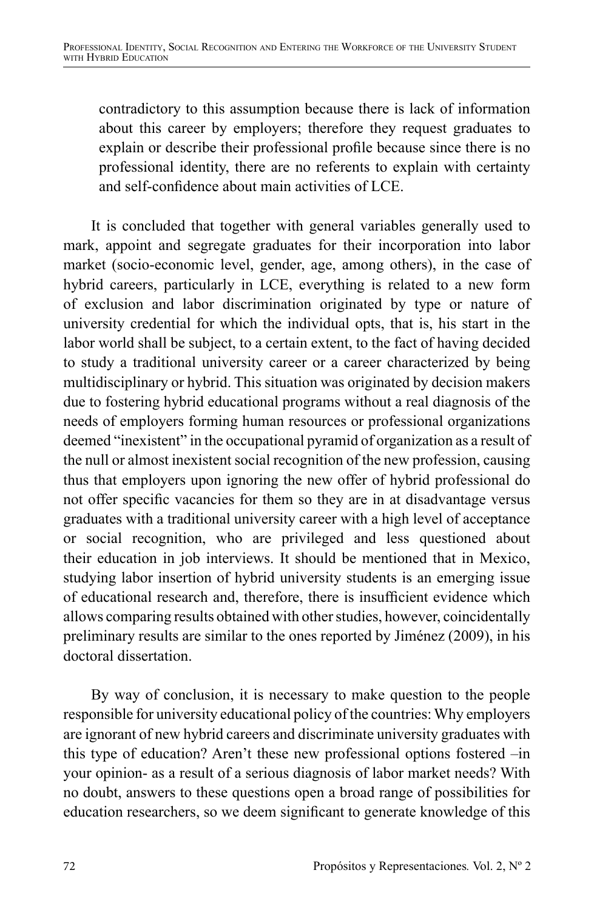contradictory to this assumption because there is lack of information about this career by employers; therefore they request graduates to explain or describe their professional profile because since there is no professional identity, there are no referents to explain with certainty and self-confidence about main activities of LCE.

It is concluded that together with general variables generally used to mark, appoint and segregate graduates for their incorporation into labor market (socio-economic level, gender, age, among others), in the case of hybrid careers, particularly in LCE, everything is related to a new form of exclusion and labor discrimination originated by type or nature of university credential for which the individual opts, that is, his start in the labor world shall be subject, to a certain extent, to the fact of having decided to study a traditional university career or a career characterized by being multidisciplinary or hybrid. This situation was originated by decision makers due to fostering hybrid educational programs without a real diagnosis of the needs of employers forming human resources or professional organizations deemed "inexistent" in the occupational pyramid of organization as a result of the null or almost inexistent social recognition of the new profession, causing thus that employers upon ignoring the new offer of hybrid professional do not offer specific vacancies for them so they are in at disadvantage versus graduates with a traditional university career with a high level of acceptance or social recognition, who are privileged and less questioned about their education in job interviews. It should be mentioned that in Mexico, studying labor insertion of hybrid university students is an emerging issue of educational research and, therefore, there is insufficient evidence which allows comparing results obtained with other studies, however, coincidentally preliminary results are similar to the ones reported by Jiménez (2009), in his doctoral dissertation.

By way of conclusion, it is necessary to make question to the people responsible for university educational policy of the countries: Why employers are ignorant of new hybrid careers and discriminate university graduates with this type of education? Aren't these new professional options fostered –in your opinion- as a result of a serious diagnosis of labor market needs? With no doubt, answers to these questions open a broad range of possibilities for education researchers, so we deem significant to generate knowledge of this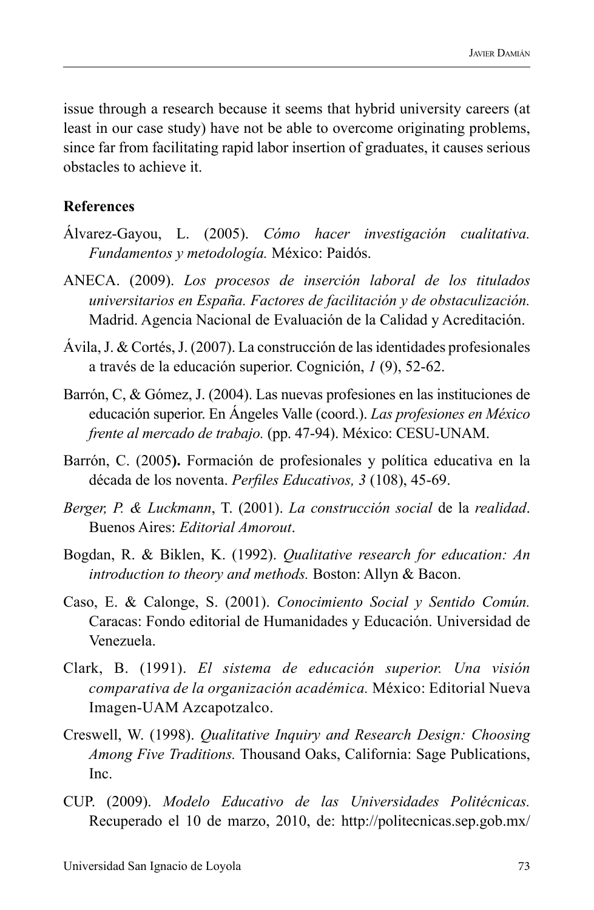issue through a research because it seems that hybrid university careers (at least in our case study) have not be able to overcome originating problems, since far from facilitating rapid labor insertion of graduates, it causes serious obstacles to achieve it.

#### **References**

- Álvarez-Gayou, L. (2005). *Cómo hacer investigación cualitativa. Fundamentos y metodología.* México: Paidós.
- ANECA. (2009). *Los procesos de inserción laboral de los titulados universitarios en España. Factores de facilitación y de obstaculización.* Madrid. Agencia Nacional de Evaluación de la Calidad y Acreditación.
- Ávila, J. & Cortés, J. (2007). La construcción de las identidades profesionales a través de la educación superior. Cognición, *1* (9), 52-62.
- Barrón, C, & Gómez, J. (2004). Las nuevas profesiones en las instituciones de educación superior. En Ángeles Valle (coord.). *Las profesiones en México frente al mercado de trabajo.* (pp. 47-94). México: CESU-UNAM.
- Barrón, C. (2005**).** Formación de profesionales y política educativa en la década de los noventa. *Perfiles Educativos, 3* (108), 45-69.
- *Berger, P. & Luckmann*, T. (2001). *La construcción social* de la *realidad*. Buenos Aires: *Editorial Amorout*.
- Bogdan, R. & Biklen, K. (1992). *Qualitative research for education: An introduction to theory and methods.* Boston: Allyn & Bacon.
- Caso, E. & Calonge, S. (2001). *Conocimiento Social y Sentido Común.* Caracas: Fondo editorial de Humanidades y Educación. Universidad de Venezuela.
- Clark, B. (1991). *El sistema de educación superior. Una visión comparativa de la organización académica.* México: Editorial Nueva Imagen-UAM Azcapotzalco.
- Creswell, W. (1998). *Qualitative Inquiry and Research Design: Choosing Among Five Traditions.* Thousand Oaks, California: Sage Publications, Inc.
- CUP. (2009). *Modelo Educativo de las Universidades Politécnicas.*  Recuperado el 10 de marzo, 2010, de: http://politecnicas.sep.gob.mx/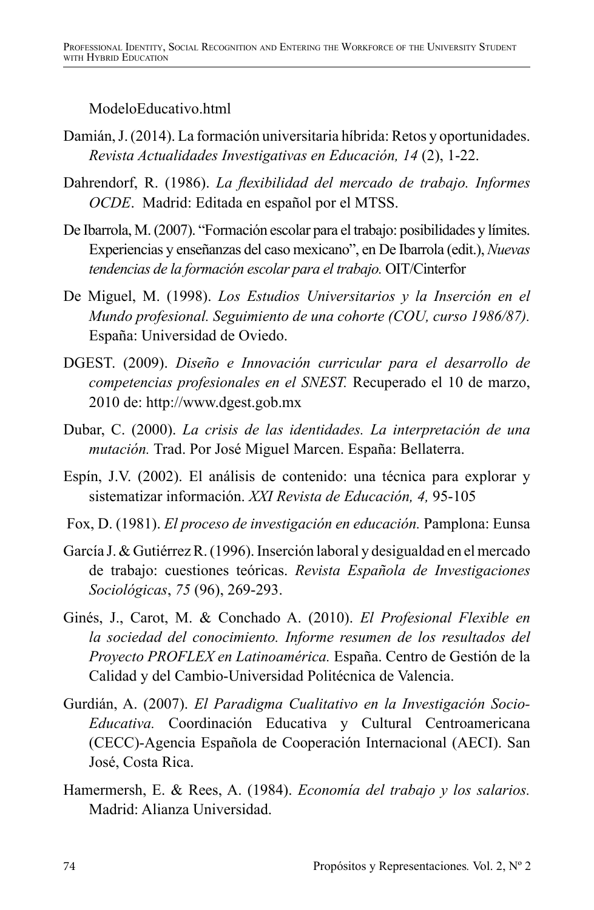### ModeloEducativo.html

- Damián, J. (2014). La formación universitaria híbrida: Retos y oportunidades. *Revista Actualidades Investigativas en Educación, 14* (2), 1-22.
- Dahrendorf, R. (1986). *La flexibilidad del mercado de trabajo. Informes OCDE*. Madrid: Editada en español por el MTSS.
- De Ibarrola, M. (2007). "Formación escolar para el trabajo: posibilidades y límites. Experiencias y enseñanzas del caso mexicano", en De Ibarrola (edit.), *Nuevas tendencias de la formación escolar para el trabajo.* OIT/Cinterfor
- De Miguel, M. (1998). *Los Estudios Universitarios y la Inserción en el Mundo profesional. Seguimiento de una cohorte (COU, curso 1986/87).* España: Universidad de Oviedo.
- DGEST. (2009). *Diseño e Innovación curricular para el desarrollo de competencias profesionales en el SNEST.* Recuperado el 10 de marzo, 2010 de: http://www.dgest.gob.mx
- Dubar, C. (2000). *La crisis de las identidades. La interpretación de una mutación.* Trad. Por José Miguel Marcen. España: Bellaterra.
- Espín, J.V. (2002). El análisis de contenido: una técnica para explorar y sistematizar información. *XXI Revista de Educación, 4,* 95-105
- Fox, D. (1981). *El proceso de investigación en educación.* Pamplona: Eunsa
- García J. & Gutiérrez R. (1996). Inserción laboral y desigualdad en el mercado de trabajo: cuestiones teóricas. *Revista Española de Investigaciones Sociológicas*, *75* (96), 269-293.
- Ginés, J., Carot, M. & Conchado A. (2010). *El Profesional Flexible en la sociedad del conocimiento. Informe resumen de los resultados del Proyecto PROFLEX en Latinoamérica.* España. Centro de Gestión de la Calidad y del Cambio-Universidad Politécnica de Valencia.
- Gurdián, A. (2007). *El Paradigma Cualitativo en la Investigación Socio-Educativa.* Coordinación Educativa y Cultural Centroamericana (CECC)-Agencia Española de Cooperación Internacional (AECI). San José, Costa Rica.
- Hamermersh, E. & Rees, A. (1984). *Economía del trabajo y los salarios.* Madrid: Alianza Universidad.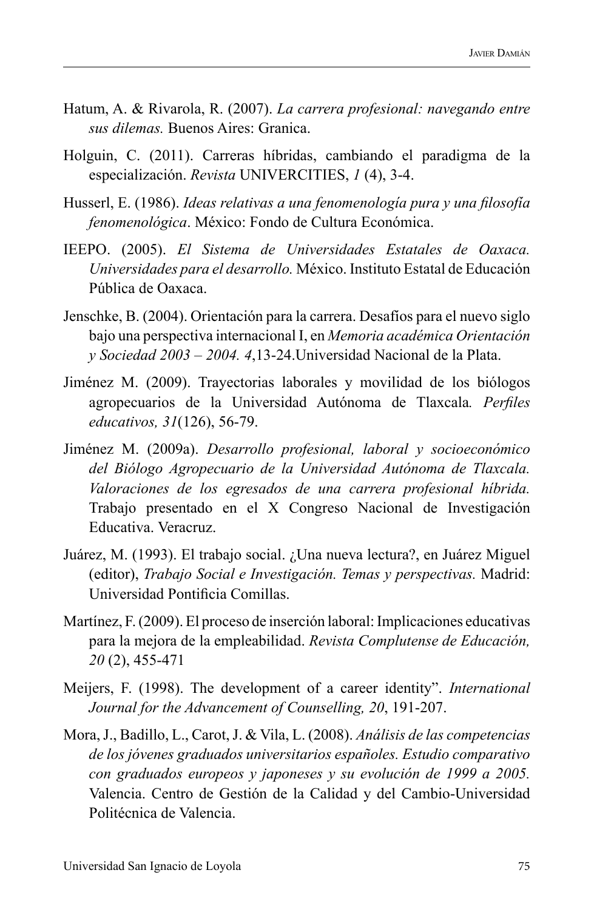- Hatum, A. & Rivarola, R. (2007). *La carrera profesional: navegando entre sus dilemas.* Buenos Aires: Granica.
- Holguin, C. (2011). Carreras híbridas, cambiando el paradigma de la especialización. *Revista* UNIVERCITIES, *1* (4), 3-4.
- Husserl, E. (1986). *Ideas relativas a una fenomenología pura y una filosofía fenomenológica*. México: Fondo de Cultura Económica.
- IEEPO. (2005). *El Sistema de Universidades Estatales de Oaxaca. Universidades para el desarrollo.* México. Instituto Estatal de Educación Pública de Oaxaca.
- Jenschke, B. (2004). Orientación para la carrera. Desafíos para el nuevo siglo bajo una perspectiva internacional I, en *Memoria académica Orientación y Sociedad 2003 – 2004. 4*,13-24.Universidad Nacional de la Plata.
- Jiménez M. (2009). Trayectorias laborales y movilidad de los biólogos agropecuarios de la Universidad Autónoma de Tlaxcala*. Perfiles educativos, 31*(126), 56-79.
- Jiménez M. (2009a). *Desarrollo profesional, laboral y socioeconómico del Biólogo Agropecuario de la Universidad Autónoma de Tlaxcala. Valoraciones de los egresados de una carrera profesional híbrida.* Trabajo presentado en el X Congreso Nacional de Investigación Educativa. Veracruz.
- Juárez, M. (1993). El trabajo social. ¿Una nueva lectura?, en Juárez Miguel (editor), *Trabajo Social e Investigación. Temas y perspectivas.* Madrid: Universidad Pontificia Comillas.
- Martínez, F. (2009). El proceso de inserción laboral: Implicaciones educativas para la mejora de la empleabilidad. *Revista Complutense de Educación, 20* (2), 455-471
- Meijers, F. (1998). The development of a career identity". *International Journal for the Advancement of Counselling, 20*, 191-207.
- Mora, J., Badillo, L., Carot, J. & Vila, L. (2008). *Análisis de las competencias de los jóvenes graduados universitarios españoles. Estudio comparativo con graduados europeos y japoneses y su evolución de 1999 a 2005.* Valencia. Centro de Gestión de la Calidad y del Cambio-Universidad Politécnica de Valencia.